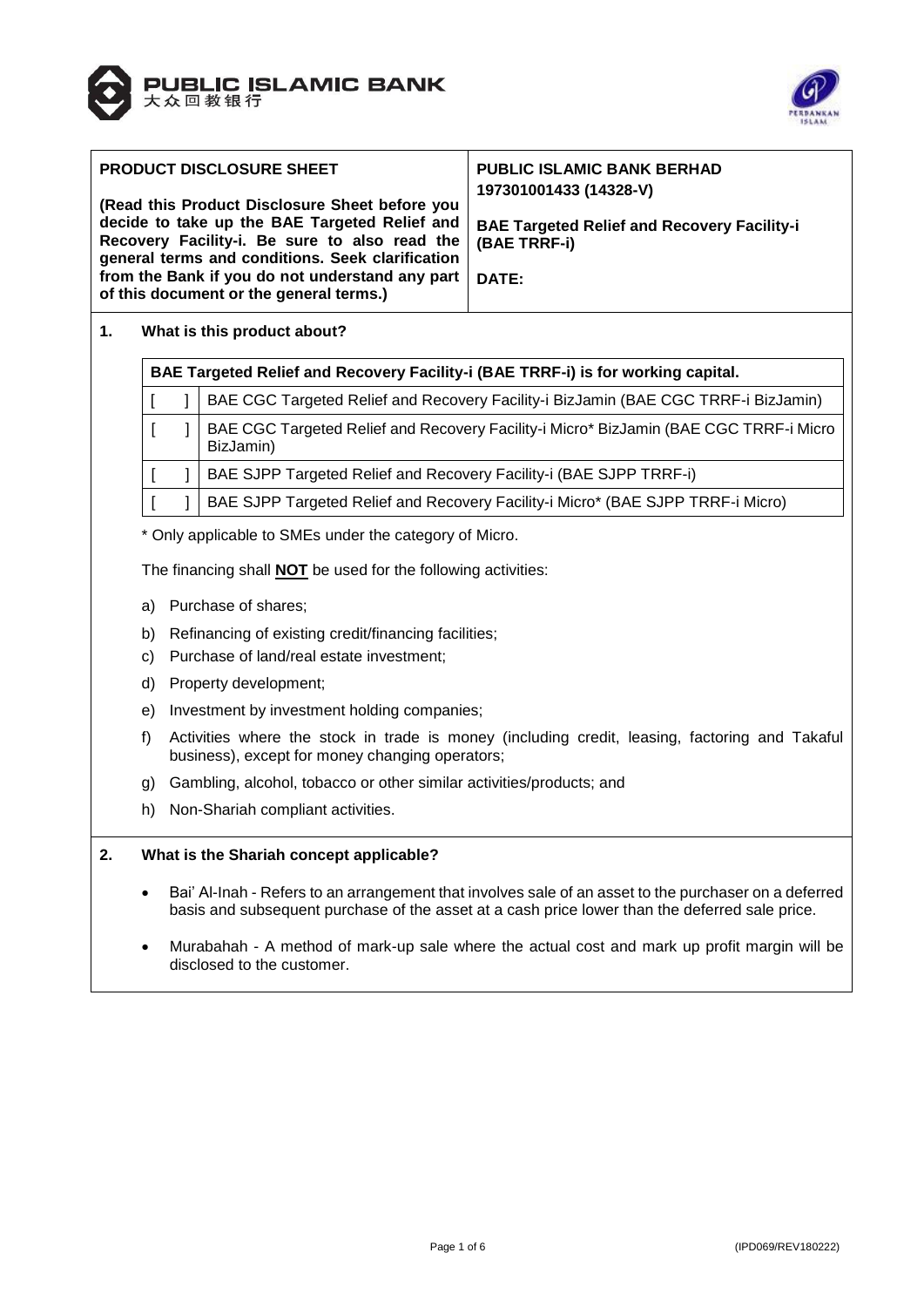



| <b>PRODUCT DISCLOSURE SHEET</b><br>(Read this Product Disclosure Sheet before you<br>decide to take up the BAE Targeted Relief and<br>Recovery Facility-i. Be sure to also read the<br>general terms and conditions. Seek clarification<br>from the Bank if you do not understand any part<br>of this document or the general terms.) | <b>PUBLIC ISLAMIC BANK BERHAD</b><br>197301001433 (14328-V)<br><b>BAE Targeted Relief and Recovery Facility-i</b><br>(BAE TRRF-i)<br>DATE: |
|---------------------------------------------------------------------------------------------------------------------------------------------------------------------------------------------------------------------------------------------------------------------------------------------------------------------------------------|--------------------------------------------------------------------------------------------------------------------------------------------|
|---------------------------------------------------------------------------------------------------------------------------------------------------------------------------------------------------------------------------------------------------------------------------------------------------------------------------------------|--------------------------------------------------------------------------------------------------------------------------------------------|

# **1. What is this product about?**

| BAE Targeted Relief and Recovery Facility-i (BAE TRRF-i) is for working capital. |  |                                                                                                    |  |
|----------------------------------------------------------------------------------|--|----------------------------------------------------------------------------------------------------|--|
|                                                                                  |  | BAE CGC Targeted Relief and Recovery Facility-i BizJamin (BAE CGC TRRF-i BizJamin)                 |  |
|                                                                                  |  | BAE CGC Targeted Relief and Recovery Facility-i Micro* BizJamin (BAE CGC TRRF-i Micro<br>BizJamin) |  |
|                                                                                  |  | BAE SJPP Targeted Relief and Recovery Facility-i (BAE SJPP TRRF-i)                                 |  |
|                                                                                  |  | BAE SJPP Targeted Relief and Recovery Facility-i Micro* (BAE SJPP TRRF-i Micro)                    |  |

\* Only applicable to SMEs under the category of Micro.

The financing shall **NOT** be used for the following activities:

- a) Purchase of shares;
- b) Refinancing of existing credit/financing facilities;
- c) Purchase of land/real estate investment;
- d) Property development;
- e) Investment by investment holding companies;
- f) Activities where the stock in trade is money (including credit, leasing, factoring and Takaful business), except for money changing operators;
- g) Gambling, alcohol, tobacco or other similar activities/products; and
- h) Non-Shariah compliant activities.

# **2. What is the Shariah concept applicable?**

- Bai' Al-Inah Refers to an arrangement that involves sale of an asset to the purchaser on a deferred basis and subsequent purchase of the asset at a cash price lower than the deferred sale price.
- Murabahah A method of mark-up sale where the actual cost and mark up profit margin will be disclosed to the customer.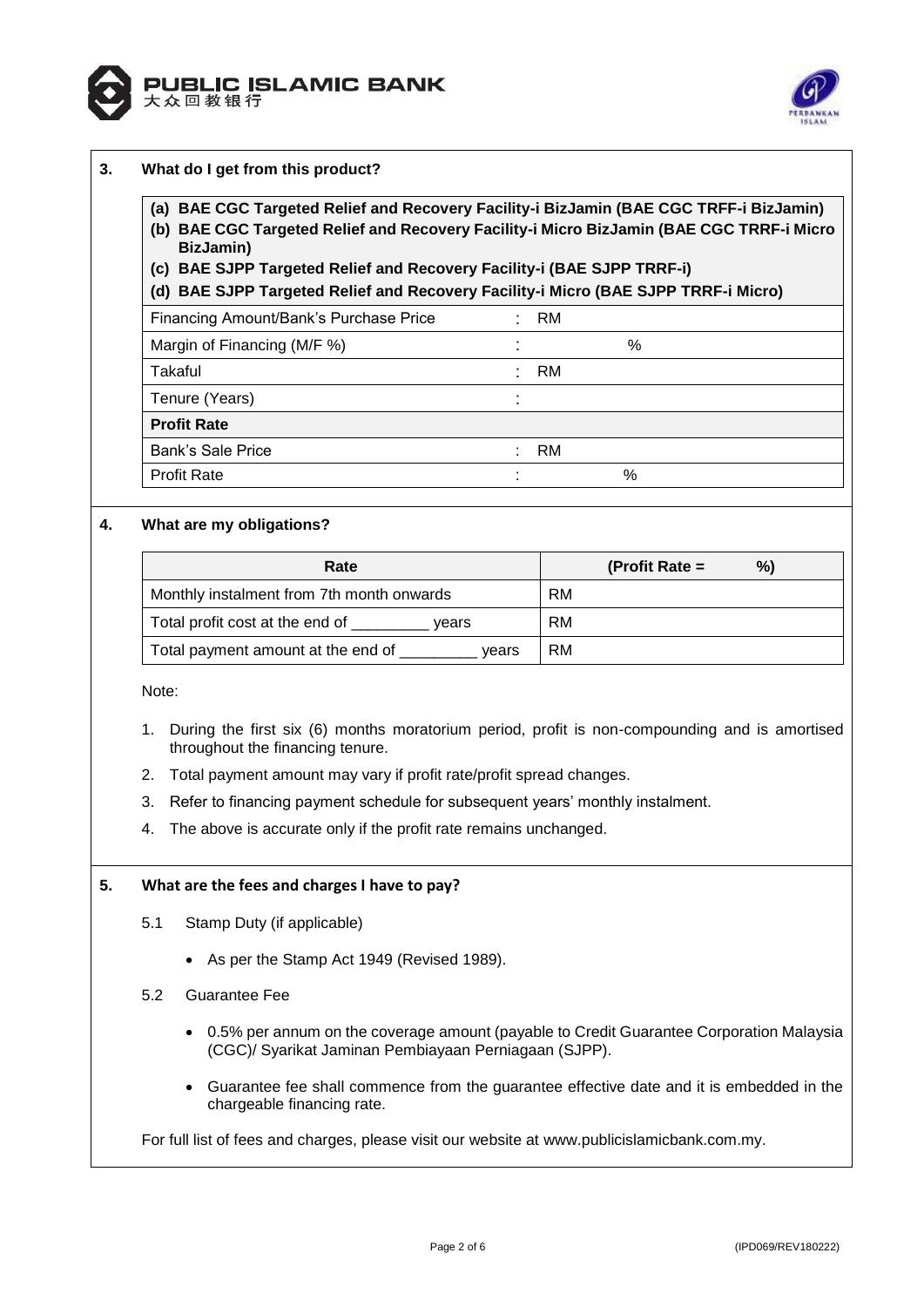



| (a) BAE CGC Targeted Relief and Recovery Facility-i BizJamin (BAE CGC TRFF-i BizJamin)<br>(b) BAE CGC Targeted Relief and Recovery Facility-i Micro BizJamin (BAE CGC TRRF-i Micro<br>BizJamin)<br>(c) BAE SJPP Targeted Relief and Recovery Facility-i (BAE SJPP TRRF-i) |           |                  |    |
|---------------------------------------------------------------------------------------------------------------------------------------------------------------------------------------------------------------------------------------------------------------------------|-----------|------------------|----|
| (d) BAE SJPP Targeted Relief and Recovery Facility-i Micro (BAE SJPP TRRF-i Micro)                                                                                                                                                                                        | RM        |                  |    |
| Financing Amount/Bank's Purchase Price<br>Margin of Financing (M/F %)                                                                                                                                                                                                     |           | $\%$             |    |
| Takaful                                                                                                                                                                                                                                                                   | RM.       |                  |    |
| Tenure (Years)                                                                                                                                                                                                                                                            |           |                  |    |
| <b>Profit Rate</b>                                                                                                                                                                                                                                                        |           |                  |    |
| <b>Bank's Sale Price</b>                                                                                                                                                                                                                                                  | RM.       |                  |    |
| <b>Profit Rate</b>                                                                                                                                                                                                                                                        |           | $\%$             |    |
| What are my obligations?                                                                                                                                                                                                                                                  |           |                  |    |
| Rate                                                                                                                                                                                                                                                                      |           | (Profit Rate $=$ | %) |
| Monthly instalment from 7th month onwards                                                                                                                                                                                                                                 | <b>RM</b> |                  |    |

Note:

- 1. During the first six (6) months moratorium period, profit is non-compounding and is amortised throughout the financing tenure.
- 2. Total payment amount may vary if profit rate/profit spread changes.
- 3. Refer to financing payment schedule for subsequent years' monthly instalment.
- 4. The above is accurate only if the profit rate remains unchanged.

Total profit cost at the end of Total vears FRM Total payment amount at the end of vears RM

## **5. What are the fees and charges I have to pay?**

- 5.1 Stamp Duty (if applicable)
	- As per the Stamp Act 1949 (Revised 1989).
- 5.2 Guarantee Fee
	- 0.5% per annum on the coverage amount (payable to Credit Guarantee Corporation Malaysia (CGC)/ Syarikat Jaminan Pembiayaan Perniagaan (SJPP).
	- Guarantee fee shall commence from the guarantee effective date and it is embedded in the chargeable financing rate.

For full list of fees and charges, please visit our website at [www.publicislamicbank.com.my.](http://www.publicislamicbank.com.my/)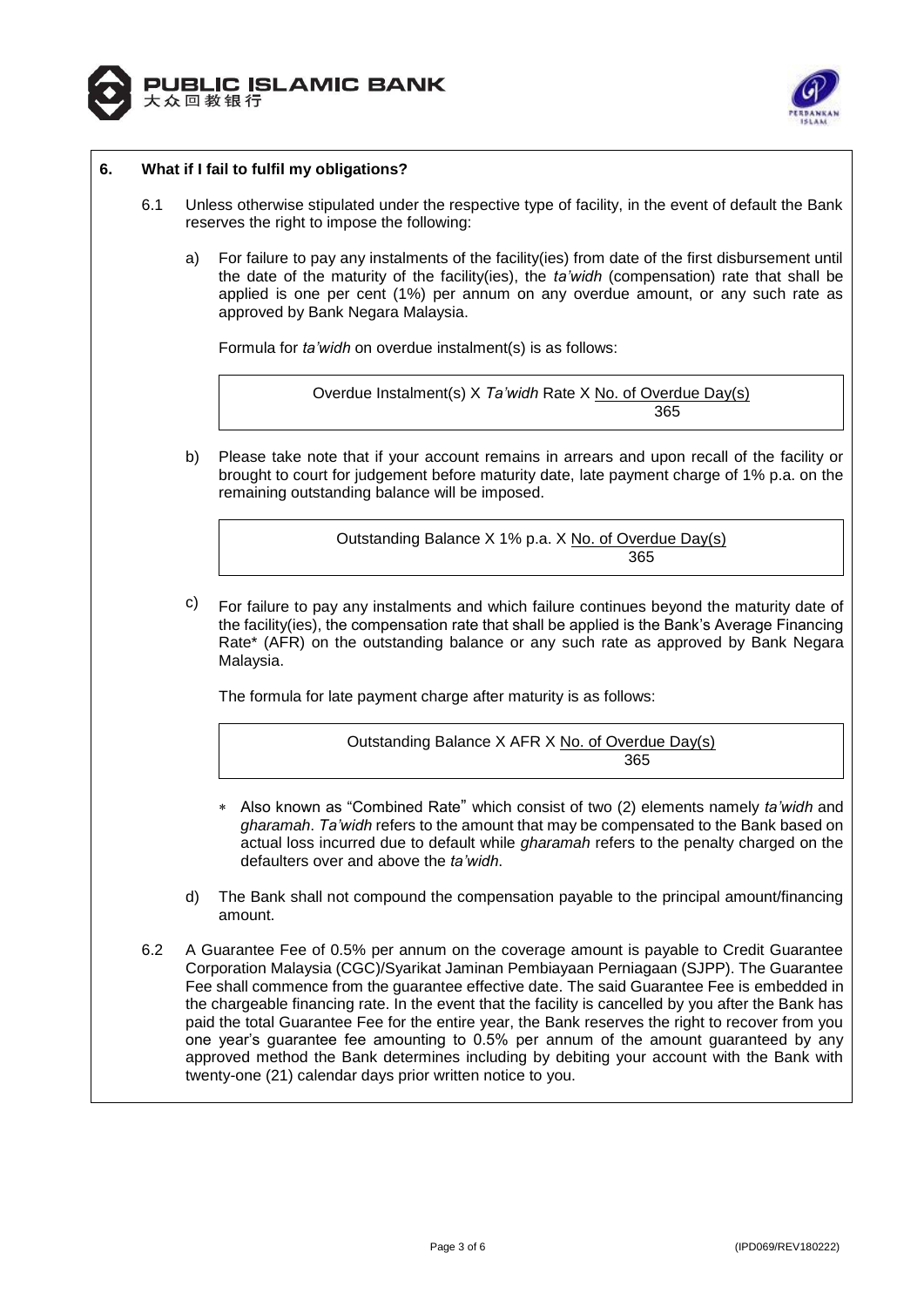



# **6. What if I fail to fulfil my obligations?**

- 6.1 Unless otherwise stipulated under the respective type of facility, in the event of default the Bank reserves the right to impose the following:
	- a) For failure to pay any instalments of the facility(ies) from date of the first disbursement until the date of the maturity of the facility(ies), the *ta'widh* (compensation) rate that shall be applied is one per cent (1%) per annum on any overdue amount, or any such rate as approved by Bank Negara Malaysia.

Formula for *ta'widh* on overdue instalment(s) is as follows:

Overdue Instalment(s) X *Ta'widh* Rate X No. of Overdue Day(s) а в село во представања на село во 1965 године на 1965 године на 1965 године и 1965 године и 1965 године и 196

b) Please take note that if your account remains in arrears and upon recall of the facility or brought to court for judgement before maturity date, late payment charge of 1% p.a. on the remaining outstanding balance will be imposed.

Outstanding Balance X 1% p.a. X No. of Overdue Day(s) <u>365 - Johann Barnett, amerikansk politik (</u>

 $c)$  For failure to pay any instalments and which failure continues beyond the maturity date of the facility(ies), the compensation rate that shall be applied is the Bank's Average Financing Rate\* (AFR) on the outstanding balance or any such rate as approved by Bank Negara Malaysia.

The formula for late payment charge after maturity is as follows:

Outstanding Balance X AFR X No. of Overdue Day(s) <u>365 - Johann Barnett, martin de catalàna (h. 1865).</u><br>1960 - Johann Barnett, martin de catalàna (h. 1865).

- Also known as "Combined Rate" which consist of two (2) elements namely *ta'widh* and *gharamah*. *Ta'widh* refers to the amount that may be compensated to the Bank based on actual loss incurred due to default while *gharamah* refers to the penalty charged on the defaulters over and above the *ta'widh*.
- d) The Bank shall not compound the compensation payable to the principal amount/financing amount.
- 6.2 A Guarantee Fee of 0.5% per annum on the coverage amount is payable to Credit Guarantee Corporation Malaysia (CGC)/Syarikat Jaminan Pembiayaan Perniagaan (SJPP). The Guarantee Fee shall commence from the guarantee effective date. The said Guarantee Fee is embedded in the chargeable financing rate. In the event that the facility is cancelled by you after the Bank has paid the total Guarantee Fee for the entire year, the Bank reserves the right to recover from you one year's guarantee fee amounting to 0.5% per annum of the amount guaranteed by any approved method the Bank determines including by debiting your account with the Bank with twenty-one (21) calendar days prior written notice to you.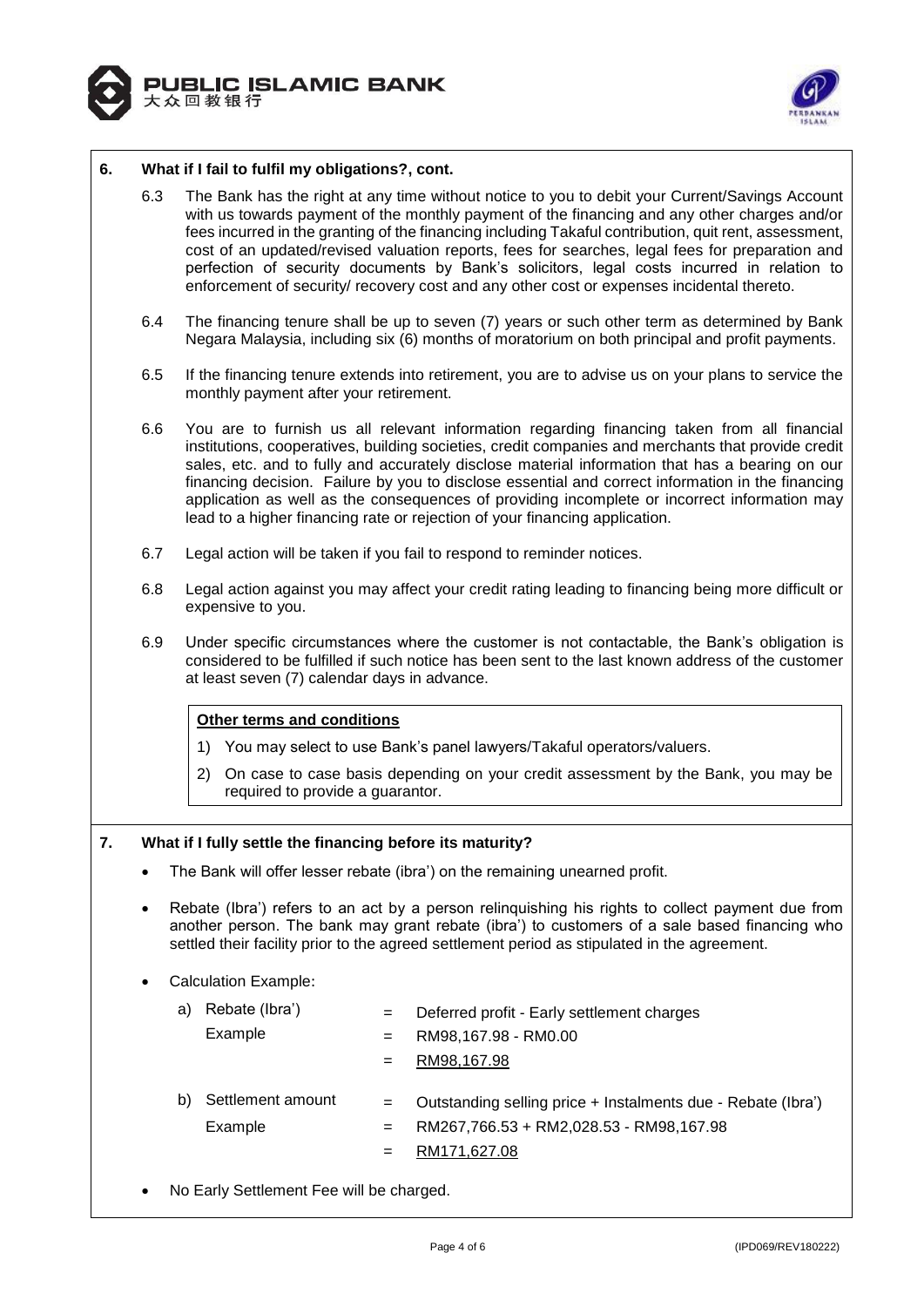



## **6. What if I fail to fulfil my obligations?, cont.**

- 6.3 The Bank has the right at any time without notice to you to debit your Current/Savings Account with us towards payment of the monthly payment of the financing and any other charges and/or fees incurred in the granting of the financing including Takaful contribution, quit rent, assessment, cost of an updated/revised valuation reports, fees for searches, legal fees for preparation and perfection of security documents by Bank's solicitors, legal costs incurred in relation to enforcement of security/ recovery cost and any other cost or expenses incidental thereto.
- 6.4 The financing tenure shall be up to seven (7) years or such other term as determined by Bank Negara Malaysia, including six (6) months of moratorium on both principal and profit payments.
- 6.5 If the financing tenure extends into retirement, you are to advise us on your plans to service the monthly payment after your retirement.
- 6.6 You are to furnish us all relevant information regarding financing taken from all financial institutions, cooperatives, building societies, credit companies and merchants that provide credit sales, etc. and to fully and accurately disclose material information that has a bearing on our financing decision. Failure by you to disclose essential and correct information in the financing application as well as the consequences of providing incomplete or incorrect information may lead to a higher financing rate or rejection of your financing application.
- 6.7 Legal action will be taken if you fail to respond to reminder notices.
- 6.8 Legal action against you may affect your credit rating leading to financing being more difficult or expensive to you.
- 6.9 Under specific circumstances where the customer is not contactable, the Bank's obligation is considered to be fulfilled if such notice has been sent to the last known address of the customer at least seven (7) calendar days in advance.

## **Other terms and conditions**

- 1) You may select to use Bank's panel lawyers/Takaful operators/valuers.
- 2) On case to case basis depending on your credit assessment by the Bank, you may be required to provide a guarantor.

## **7. What if I fully settle the financing before its maturity?**

- The Bank will offer lesser rebate (ibra') on the remaining unearned profit.
- Rebate (Ibra') refers to an act by a person relinquishing his rights to collect payment due from another person. The bank may grant rebate (ibra') to customers of a sale based financing who settled their facility prior to the agreed settlement period as stipulated in the agreement.

## Calculation Example:

| Rebate (Ibra')<br>a)               | Deferred profit - Early settlement charges<br>$=$                                                                                            |
|------------------------------------|----------------------------------------------------------------------------------------------------------------------------------------------|
| Example                            | RM98,167.98 - RM0.00<br>$=$                                                                                                                  |
|                                    | RM98,167.98<br>$=$                                                                                                                           |
| Settlement amount<br>b)<br>Example | Outstanding selling price + Instalments due - Rebate (Ibra')<br>$=$<br>RM267,766.53 + RM2,028.53 - RM98,167.98<br>$=$<br>RM171,627.08<br>$=$ |

No Early Settlement Fee will be charged.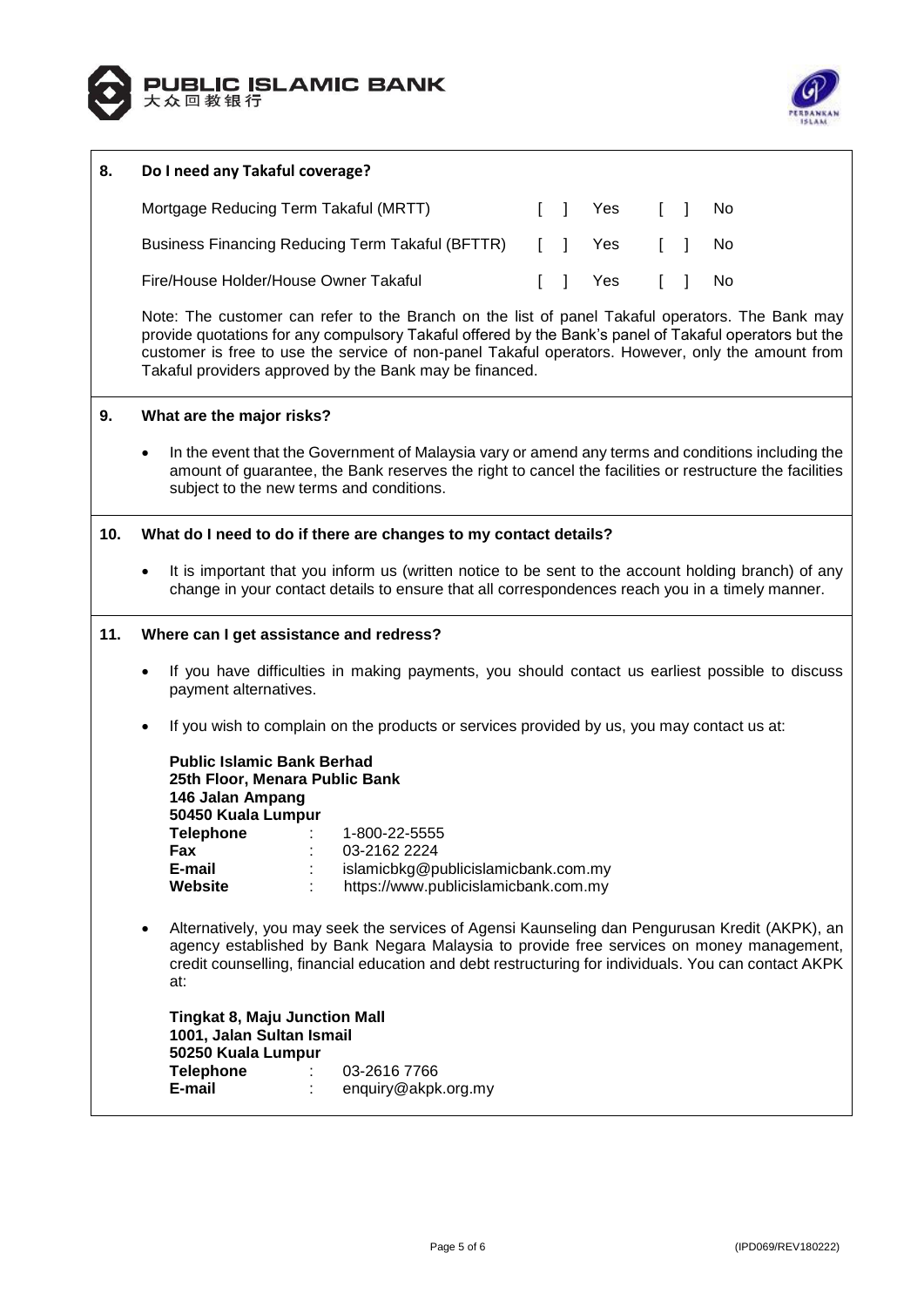



| 8.  | Do I need any Takaful coverage?                                                                                                                                                                                                                                                                                                                                           |  |  |  |  |
|-----|---------------------------------------------------------------------------------------------------------------------------------------------------------------------------------------------------------------------------------------------------------------------------------------------------------------------------------------------------------------------------|--|--|--|--|
|     | Mortgage Reducing Term Takaful (MRTT)<br>$\begin{bmatrix} 1 \end{bmatrix}$<br>Yes<br>$\Box$<br>No                                                                                                                                                                                                                                                                         |  |  |  |  |
|     | Business Financing Reducing Term Takaful (BFTTR)<br>$\mathsf{L}$<br>$\mathbf{1}$<br>$\begin{bmatrix} 1 \end{bmatrix}$<br>Yes<br>No                                                                                                                                                                                                                                        |  |  |  |  |
|     | Fire/House Holder/House Owner Takaful<br>$\mathsf{L}$<br>$\mathbf{I}$<br>No<br>Yes                                                                                                                                                                                                                                                                                        |  |  |  |  |
|     | Note: The customer can refer to the Branch on the list of panel Takaful operators. The Bank may<br>provide quotations for any compulsory Takaful offered by the Bank's panel of Takaful operators but the<br>customer is free to use the service of non-panel Takaful operators. However, only the amount from<br>Takaful providers approved by the Bank may be financed. |  |  |  |  |
| 9.  | What are the major risks?                                                                                                                                                                                                                                                                                                                                                 |  |  |  |  |
|     | In the event that the Government of Malaysia vary or amend any terms and conditions including the<br>$\bullet$<br>amount of guarantee, the Bank reserves the right to cancel the facilities or restructure the facilities<br>subject to the new terms and conditions.                                                                                                     |  |  |  |  |
| 10. | What do I need to do if there are changes to my contact details?                                                                                                                                                                                                                                                                                                          |  |  |  |  |
|     | It is important that you inform us (written notice to be sent to the account holding branch) of any<br>$\bullet$<br>change in your contact details to ensure that all correspondences reach you in a timely manner.                                                                                                                                                       |  |  |  |  |
| 11. | Where can I get assistance and redress?                                                                                                                                                                                                                                                                                                                                   |  |  |  |  |
|     | If you have difficulties in making payments, you should contact us earliest possible to discuss<br>$\bullet$<br>payment alternatives.                                                                                                                                                                                                                                     |  |  |  |  |
|     | If you wish to complain on the products or services provided by us, you may contact us at:                                                                                                                                                                                                                                                                                |  |  |  |  |
|     | <b>Public Islamic Bank Berhad</b><br>25th Floor, Menara Public Bank<br>146 Jalan Ampang<br>50450 Kuala Lumpur                                                                                                                                                                                                                                                             |  |  |  |  |
|     | <b>Telephone</b><br>1-800-22-5555<br>Fax<br>03-2162 2224                                                                                                                                                                                                                                                                                                                  |  |  |  |  |
|     | islamicbkg@publicislamicbank.com.my<br>E-mail<br>https://www.publicislamicbank.com.my<br><b>Website</b>                                                                                                                                                                                                                                                                   |  |  |  |  |
|     | Alternatively, you may seek the services of Agensi Kaunseling dan Pengurusan Kredit (AKPK), an<br>agency established by Bank Negara Malaysia to provide free services on money management,<br>credit counselling, financial education and debt restructuring for individuals. You can contact AKPK<br>at:                                                                 |  |  |  |  |
|     | <b>Tingkat 8, Maju Junction Mall</b><br>1001, Jalan Sultan Ismail<br>50250 Kuala Lumpur                                                                                                                                                                                                                                                                                   |  |  |  |  |
|     | <b>Telephone</b><br>03-2616 7766<br>E-mail<br>enquiry@akpk.org.my                                                                                                                                                                                                                                                                                                         |  |  |  |  |